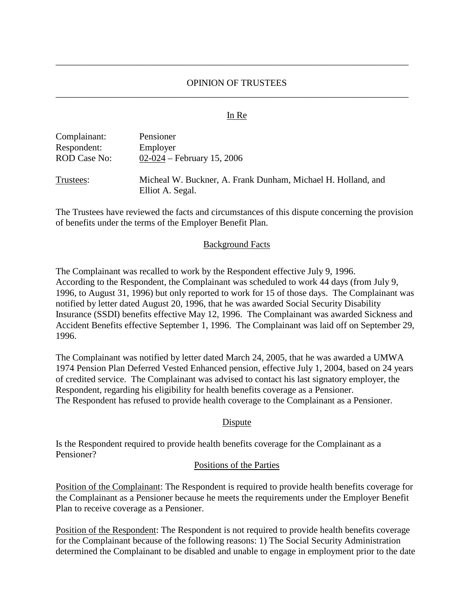## OPINION OF TRUSTEES \_\_\_\_\_\_\_\_\_\_\_\_\_\_\_\_\_\_\_\_\_\_\_\_\_\_\_\_\_\_\_\_\_\_\_\_\_\_\_\_\_\_\_\_\_\_\_\_\_\_\_\_\_\_\_\_\_\_\_\_\_\_\_\_\_\_\_\_\_\_\_\_\_\_\_\_

\_\_\_\_\_\_\_\_\_\_\_\_\_\_\_\_\_\_\_\_\_\_\_\_\_\_\_\_\_\_\_\_\_\_\_\_\_\_\_\_\_\_\_\_\_\_\_\_\_\_\_\_\_\_\_\_\_\_\_\_\_\_\_\_\_\_\_\_\_\_\_\_\_\_\_\_

### In Re

| Complainant:        | Pensioner                                                                        |
|---------------------|----------------------------------------------------------------------------------|
| Respondent:         | Employer                                                                         |
| <b>ROD Case No:</b> | 02-024 – February 15, 2006                                                       |
| Trustees:           | Micheal W. Buckner, A. Frank Dunham, Michael H. Holland, and<br>Elliot A. Segal. |

The Trustees have reviewed the facts and circumstances of this dispute concerning the provision of benefits under the terms of the Employer Benefit Plan.

### Background Facts

The Complainant was recalled to work by the Respondent effective July 9, 1996. According to the Respondent, the Complainant was scheduled to work 44 days (from July 9, 1996, to August 31, 1996) but only reported to work for 15 of those days. The Complainant was notified by letter dated August 20, 1996, that he was awarded Social Security Disability Insurance (SSDI) benefits effective May 12, 1996. The Complainant was awarded Sickness and Accident Benefits effective September 1, 1996. The Complainant was laid off on September 29, 1996.

The Complainant was notified by letter dated March 24, 2005, that he was awarded a UMWA 1974 Pension Plan Deferred Vested Enhanced pension, effective July 1, 2004, based on 24 years of credited service. The Complainant was advised to contact his last signatory employer, the Respondent, regarding his eligibility for health benefits coverage as a Pensioner. The Respondent has refused to provide health coverage to the Complainant as a Pensioner.

### Dispute

Is the Respondent required to provide health benefits coverage for the Complainant as a Pensioner?

## Positions of the Parties

Position of the Complainant: The Respondent is required to provide health benefits coverage for the Complainant as a Pensioner because he meets the requirements under the Employer Benefit Plan to receive coverage as a Pensioner.

Position of the Respondent: The Respondent is not required to provide health benefits coverage for the Complainant because of the following reasons: 1) The Social Security Administration determined the Complainant to be disabled and unable to engage in employment prior to the date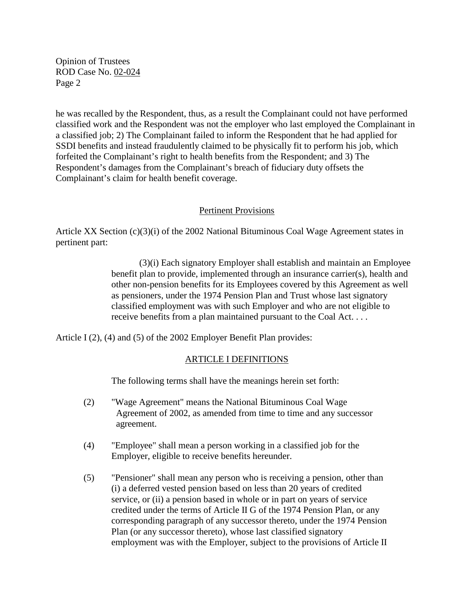Opinion of Trustees ROD Case No. 02-024 Page 2

he was recalled by the Respondent, thus, as a result the Complainant could not have performed classified work and the Respondent was not the employer who last employed the Complainant in a classified job; 2) The Complainant failed to inform the Respondent that he had applied for SSDI benefits and instead fraudulently claimed to be physically fit to perform his job, which forfeited the Complainant's right to health benefits from the Respondent; and 3) The Respondent's damages from the Complainant's breach of fiduciary duty offsets the Complainant's claim for health benefit coverage.

## Pertinent Provisions

Article XX Section (c)(3)(i) of the 2002 National Bituminous Coal Wage Agreement states in pertinent part:

> (3)(i) Each signatory Employer shall establish and maintain an Employee benefit plan to provide, implemented through an insurance carrier(s), health and other non-pension benefits for its Employees covered by this Agreement as well as pensioners, under the 1974 Pension Plan and Trust whose last signatory classified employment was with such Employer and who are not eligible to receive benefits from a plan maintained pursuant to the Coal Act. . . .

Article I (2), (4) and (5) of the 2002 Employer Benefit Plan provides:

## ARTICLE I DEFINITIONS

The following terms shall have the meanings herein set forth:

- (2) "Wage Agreement" means the National Bituminous Coal Wage Agreement of 2002, as amended from time to time and any successor agreement.
- (4) "Employee" shall mean a person working in a classified job for the Employer, eligible to receive benefits hereunder.
- (5) "Pensioner" shall mean any person who is receiving a pension, other than (i) a deferred vested pension based on less than 20 years of credited service, or (ii) a pension based in whole or in part on years of service credited under the terms of Article II G of the 1974 Pension Plan, or any corresponding paragraph of any successor thereto, under the 1974 Pension Plan (or any successor thereto), whose last classified signatory employment was with the Employer, subject to the provisions of Article II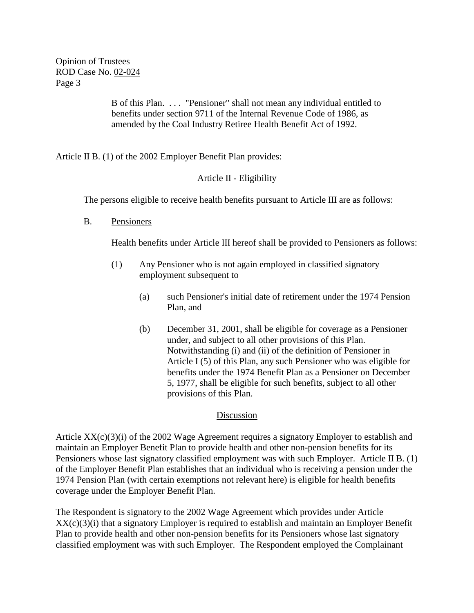Opinion of Trustees ROD Case No. 02-024 Page 3

> B of this Plan. . . . "Pensioner" shall not mean any individual entitled to benefits under section 9711 of the Internal Revenue Code of 1986, as amended by the Coal Industry Retiree Health Benefit Act of 1992.

Article II B. (1) of the 2002 Employer Benefit Plan provides:

# Article II - Eligibility

The persons eligible to receive health benefits pursuant to Article III are as follows:

B. Pensioners

Health benefits under Article III hereof shall be provided to Pensioners as follows:

- (1) Any Pensioner who is not again employed in classified signatory employment subsequent to
	- (a) such Pensioner's initial date of retirement under the 1974 Pension Plan, and
	- (b) December 31, 2001, shall be eligible for coverage as a Pensioner under, and subject to all other provisions of this Plan. Notwithstanding (i) and (ii) of the definition of Pensioner in Article I (5) of this Plan, any such Pensioner who was eligible for benefits under the 1974 Benefit Plan as a Pensioner on December 5, 1977, shall be eligible for such benefits, subject to all other provisions of this Plan.

## **Discussion**

Article  $XX(c)(3)(i)$  of the 2002 Wage Agreement requires a signatory Employer to establish and maintain an Employer Benefit Plan to provide health and other non-pension benefits for its Pensioners whose last signatory classified employment was with such Employer. Article II B. (1) of the Employer Benefit Plan establishes that an individual who is receiving a pension under the 1974 Pension Plan (with certain exemptions not relevant here) is eligible for health benefits coverage under the Employer Benefit Plan.

The Respondent is signatory to the 2002 Wage Agreement which provides under Article XX(c)(3)(i) that a signatory Employer is required to establish and maintain an Employer Benefit Plan to provide health and other non-pension benefits for its Pensioners whose last signatory classified employment was with such Employer. The Respondent employed the Complainant